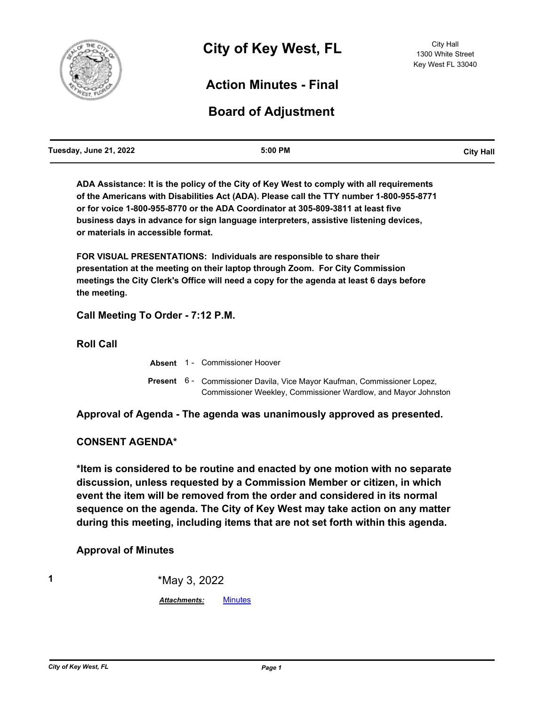

## **Action Minutes - Final**

# **Board of Adjustment**

| Tuesday, June 21, 2022 | 5:00 PM | <b>City Hall</b> |
|------------------------|---------|------------------|
|                        |         |                  |

**ADA Assistance: It is the policy of the City of Key West to comply with all requirements of the Americans with Disabilities Act (ADA). Please call the TTY number 1-800-955-8771 or for voice 1-800-955-8770 or the ADA Coordinator at 305-809-3811 at least five business days in advance for sign language interpreters, assistive listening devices, or materials in accessible format.**

**FOR VISUAL PRESENTATIONS: Individuals are responsible to share their presentation at the meeting on their laptop through Zoom. For City Commission meetings the City Clerk's Office will need a copy for the agenda at least 6 days before the meeting.**

### **Call Meeting To Order - 7:12 P.M.**

**Roll Call**

|  | <b>Absent</b> 1 - Commissioner Hoover                                                                                                      |
|--|--------------------------------------------------------------------------------------------------------------------------------------------|
|  | Present 6 - Commissioner Davila, Vice Mayor Kaufman, Commissioner Lopez,<br>Commissioner Weekley, Commissioner Wardlow, and Mayor Johnston |

**Approval of Agenda - The agenda was unanimously approved as presented.**

#### **CONSENT AGENDA\***

**\*Item is considered to be routine and enacted by one motion with no separate discussion, unless requested by a Commission Member or citizen, in which event the item will be removed from the order and considered in its normal sequence on the agenda. The City of Key West may take action on any matter during this meeting, including items that are not set forth within this agenda.**

#### **Approval of Minutes**

**1** \*May 3, 2022

*Attachments:* [Minutes](http://KeyWest.legistar.com/gateway.aspx?M=F&ID=c88c2726-4f36-4b39-b6fa-1b05b6a7a960.pdf)